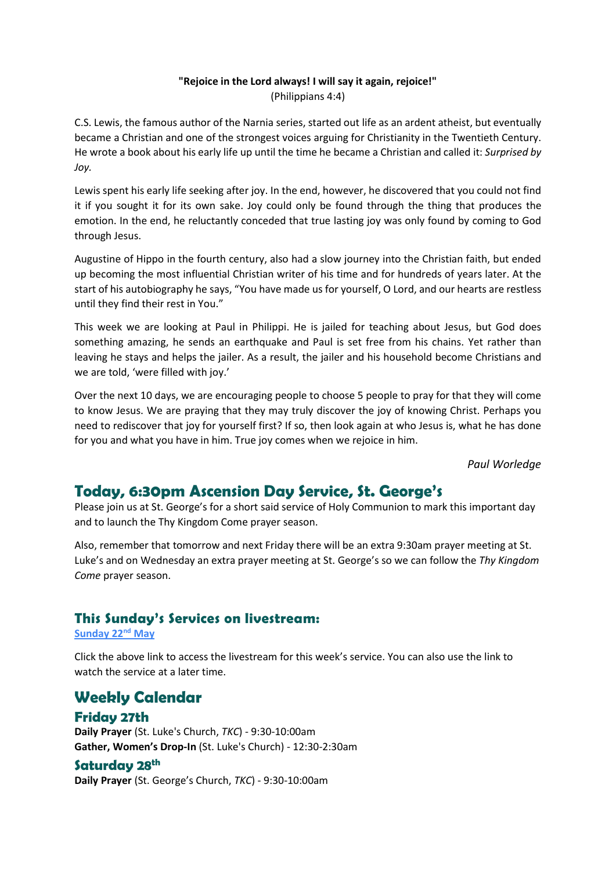#### **"Rejoice in the Lord always! I will say it again, rejoice!"**  (Philippians 4:4)

C.S. Lewis, the famous author of the Narnia series, started out life as an ardent atheist, but eventually became a Christian and one of the strongest voices arguing for Christianity in the Twentieth Century. He wrote a book about his early life up until the time he became a Christian and called it: *Surprised by Joy.*

Lewis spent his early life seeking after joy. In the end, however, he discovered that you could not find it if you sought it for its own sake. Joy could only be found through the thing that produces the emotion. In the end, he reluctantly conceded that true lasting joy was only found by coming to God through Jesus.

Augustine of Hippo in the fourth century, also had a slow journey into the Christian faith, but ended up becoming the most influential Christian writer of his time and for hundreds of years later. At the start of his autobiography he says, "You have made us for yourself, O Lord, and our hearts are restless until they find their rest in You."

This week we are looking at Paul in Philippi. He is jailed for teaching about Jesus, but God does something amazing, he sends an earthquake and Paul is set free from his chains. Yet rather than leaving he stays and helps the jailer. As a result, the jailer and his household become Christians and we are told, 'were filled with joy.'

Over the next 10 days, we are encouraging people to choose 5 people to pray for that they will come to know Jesus. We are praying that they may truly discover the joy of knowing Christ. Perhaps you need to rediscover that joy for yourself first? If so, then look again at who Jesus is, what he has done for you and what you have in him. True joy comes when we rejoice in him.

*Paul Worledge*

## **Today, 6:30pm Ascension Day Service, St. George's**

Please join us at St. George's for a short said service of Holy Communion to mark this important day and to launch the Thy Kingdom Come prayer season.

Also, remember that tomorrow and next Friday there will be an extra 9:30am prayer meeting at St. Luke's and on Wednesday an extra prayer meeting at St. George's so we can follow the *Thy Kingdom Come* prayer season.

### **This Sunday's Services on livestream:**

**[Sunday 22](https://youtu.be/5J5cBYsgslU)nd May**

Click the above link to access the livestream for this week's service. You can also use the link to watch the service at a later time.

**Weekly Calendar Friday 27th**

**Daily Prayer** (St. Luke's Church, *TKC*) - 9:30-10:00am **Gather, Women's Drop-In** (St. Luke's Church) - 12:30-2:30am

#### **Saturday 28th**

**Daily Prayer** (St. George's Church, *TKC*) - 9:30-10:00am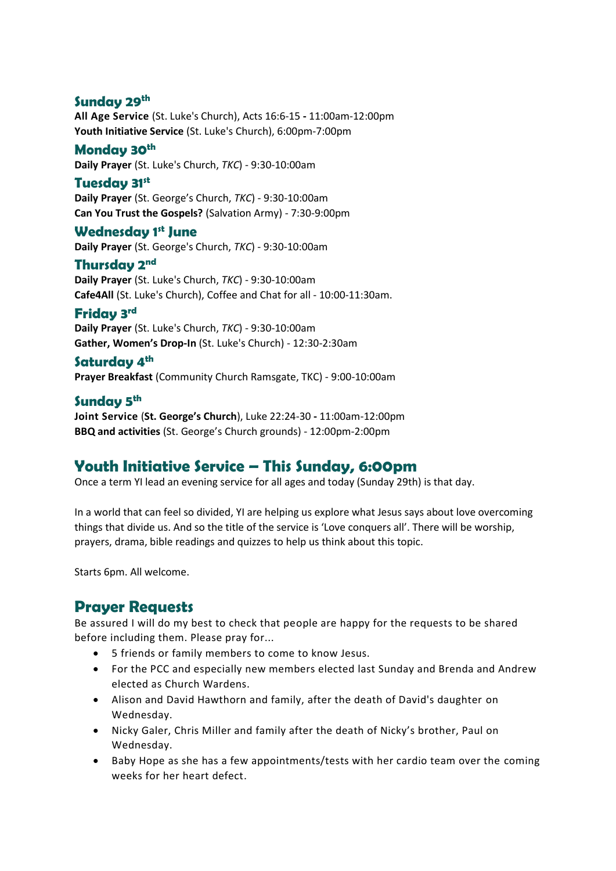### **Sunday 29th**

**All Age Service** (St. Luke's Church), Acts 16:6-15 **-** 11:00am-12:00pm **Youth Initiative Service** (St. Luke's Church), 6:00pm-7:00pm

### **Monday 30th**

**Daily Prayer** (St. Luke's Church, *TKC*) - 9:30-10:00am

#### **Tuesday 31st**

**Daily Prayer** (St. George's Church, *TKC*) - 9:30-10:00am **Can You Trust the Gospels?** (Salvation Army) - 7:30-9:00pm

#### **Wednesday 1 st June**

**Daily Prayer** (St. George's Church, *TKC*) - 9:30-10:00am

### **Thursday 2 nd**

**Daily Prayer** (St. Luke's Church, *TKC*) - 9:30-10:00am **Cafe4All** (St. Luke's Church), Coffee and Chat for all - 10:00-11:30am.

### **Friday 3 rd**

**Daily Prayer** (St. Luke's Church, *TKC*) - 9:30-10:00am **Gather, Women's Drop-In** (St. Luke's Church) - 12:30-2:30am

### **Saturday 4th**

**Prayer Breakfast** (Community Church Ramsgate, TKC) - 9:00-10:00am

#### **Sunday 5 th**

**Joint Service** (**St. George's Church**), Luke 22:24-30 **-** 11:00am-12:00pm **BBQ and activities** (St. George's Church grounds) - 12:00pm-2:00pm

# **Youth Initiative Service – This Sunday, 6:00pm**

Once a term YI lead an evening service for all ages and today (Sunday 29th) is that day.

In a world that can feel so divided, YI are helping us explore what Jesus says about love overcoming things that divide us. And so the title of the service is 'Love conquers all'. There will be worship, prayers, drama, bible readings and quizzes to help us think about this topic.

Starts 6pm. All welcome.

## **Prayer Requests**

Be assured I will do my best to check that people are happy for the requests to be shared before including them. Please pray for...

- 5 friends or family members to come to know Jesus.
- For the PCC and especially new members elected last Sunday and Brenda and Andrew elected as Church Wardens.
- Alison and David Hawthorn and family, after the death of David's daughter on Wednesday.
- Nicky Galer, Chris Miller and family after the death of Nicky's brother, Paul on Wednesday.
- Baby Hope as she has a few appointments/tests with her cardio team over the coming weeks for her heart defect.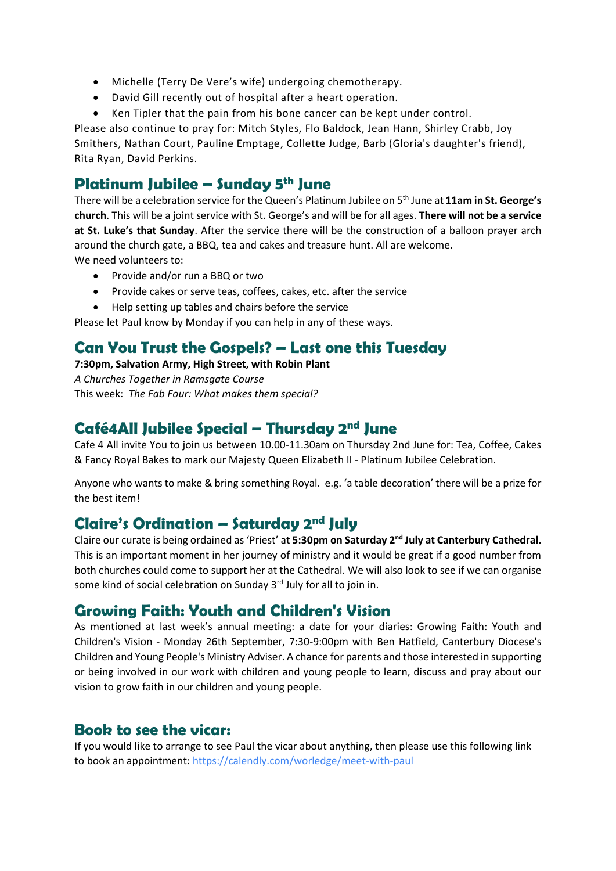- Michelle (Terry De Vere's wife) undergoing chemotherapy.
- David Gill recently out of hospital after a heart operation.
- Ken Tipler that the pain from his bone cancer can be kept under control.

Please also continue to pray for: Mitch Styles, Flo Baldock, Jean Hann, Shirley Crabb, Joy Smithers, Nathan Court, Pauline Emptage, Collette Judge, Barb (Gloria's daughter's friend), Rita Ryan, David Perkins.

### **Platinum Jubilee – Sunday 5th June**

There will be a celebration service for the Queen's Platinum Jubilee on 5<sup>th</sup> June at 11am in St. George's **church**. This will be a joint service with St. George's and will be for all ages. **There will not be a service at St. Luke's that Sunday**. After the service there will be the construction of a balloon prayer arch around the church gate, a BBQ, tea and cakes and treasure hunt. All are welcome. We need volunteers to:

- Provide and/or run a BBQ or two
- Provide cakes or serve teas, coffees, cakes, etc. after the service
- Help setting up tables and chairs before the service

Please let Paul know by Monday if you can help in any of these ways.

## **Can You Trust the Gospels? – Last one this Tuesday**

**7:30pm, Salvation Army, High Street, with Robin Plant**

*A Churches Together in Ramsgate Course* This week: *The Fab Four: What makes them special?*

# **Café4All Jubilee Special – Thursday 2nd June**

Cafe 4 All invite You to join us between 10.00-11.30am on Thursday 2nd June for: Tea, Coffee, Cakes & Fancy Royal Bakes to mark our Majesty Queen Elizabeth II - Platinum Jubilee Celebration.

Anyone who wants to make & bring something Royal. e.g. 'a table decoration' there will be a prize for the best item!

### **Claire's Ordination – Saturday 2nd July**

Claire our curate is being ordained as 'Priest' at **5:30pm on Saturday 2nd July at Canterbury Cathedral.**  This is an important moment in her journey of ministry and it would be great if a good number from both churches could come to support her at the Cathedral. We will also look to see if we can organise some kind of social celebration on Sunday 3<sup>rd</sup> July for all to join in.

## **Growing Faith: Youth and Children's Vision**

As mentioned at last week's annual meeting: a date for your diaries: Growing Faith: Youth and Children's Vision - Monday 26th September, 7:30-9:00pm with Ben Hatfield, Canterbury Diocese's Children and Young People's Ministry Adviser. A chance for parents and those interested in supporting or being involved in our work with children and young people to learn, discuss and pray about our vision to grow faith in our children and young people.

## **Book to see the vicar:**

If you would like to arrange to see Paul the vicar about anything, then please use this following link to book an appointment:<https://calendly.com/worledge/meet-with-paul>